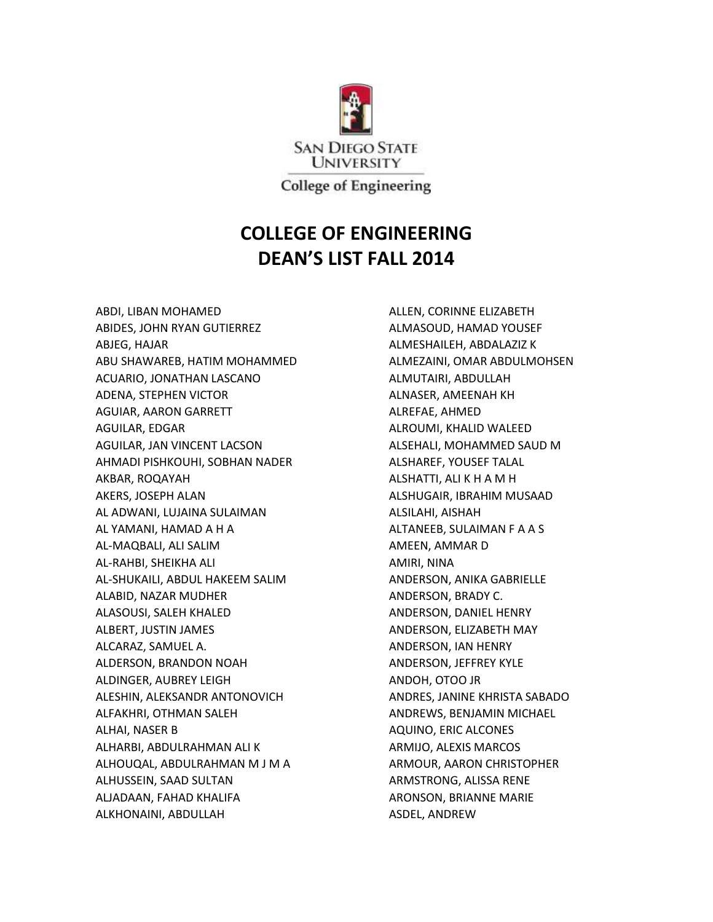

**College of Engineering** 

## **COLLEGE OF ENGINEERING DEAN'S LIST FALL 2014**

ABDI, LIBAN MOHAMED ABIDES, JOHN RYAN GUTIERREZ ABJEG, HAJAR ABU SHAWAREB, HATIM MOHAMMED ACUARIO, JONATHAN LASCANO ADENA, STEPHEN VICTOR AGUIAR, AARON GARRETT AGUILAR, EDGAR AGUILAR, JAN VINCENT LACSON AHMADI PISHKOUHI, SOBHAN NADER AKBAR, ROQAYAH AKERS, JOSEPH ALAN AL ADWANI, LUJAINA SULAIMAN AL YAMANI, HAMAD A H A AL-MAQBALI, ALI SALIM AL-RAHBI, SHEIKHA ALI AL-SHUKAILI, ABDUL HAKEEM SALIM ALABID, NAZAR MUDHER ALASOUSI, SALEH KHALED ALBERT, JUSTIN JAMES ALCARAZ, SAMUEL A. ALDERSON, BRANDON NOAH ALDINGER, AUBREY LEIGH ALESHIN, ALEKSANDR ANTONOVICH ALFAKHRI, OTHMAN SALEH ALHAI, NASER B ALHARBI, ABDULRAHMAN ALI K ALHOUQAL, ABDULRAHMAN M J M A ALHUSSEIN, SAAD SULTAN ALJADAAN, FAHAD KHALIFA ALKHONAINI, ABDULLAH

ALLEN, CORINNE ELIZABETH ALMASOUD, HAMAD YOUSEF ALMESHAILEH, ABDALAZIZ K ALMEZAINI, OMAR ABDULMOHSEN ALMUTAIRI, ABDULLAH ALNASER, AMEENAH KH ALREFAE, AHMED ALROUMI, KHALID WALEED ALSEHALI, MOHAMMED SAUD M ALSHAREF, YOUSEF TALAL ALSHATTI, ALI K H A M H ALSHUGAIR, IBRAHIM MUSAAD ALSILAHI, AISHAH ALTANEEB, SULAIMAN F A A S AMEEN, AMMAR D AMIRI, NINA ANDERSON, ANIKA GABRIELLE ANDERSON, BRADY C. ANDERSON, DANIEL HENRY ANDERSON, ELIZABETH MAY ANDERSON, IAN HENRY ANDERSON, JEFFREY KYLE ANDOH, OTOO JR ANDRES, JANINE KHRISTA SABADO ANDREWS, BENJAMIN MICHAEL AQUINO, ERIC ALCONES ARMIJO, ALEXIS MARCOS ARMOUR, AARON CHRISTOPHER ARMSTRONG, ALISSA RENE ARONSON, BRIANNE MARIE ASDEL, ANDREW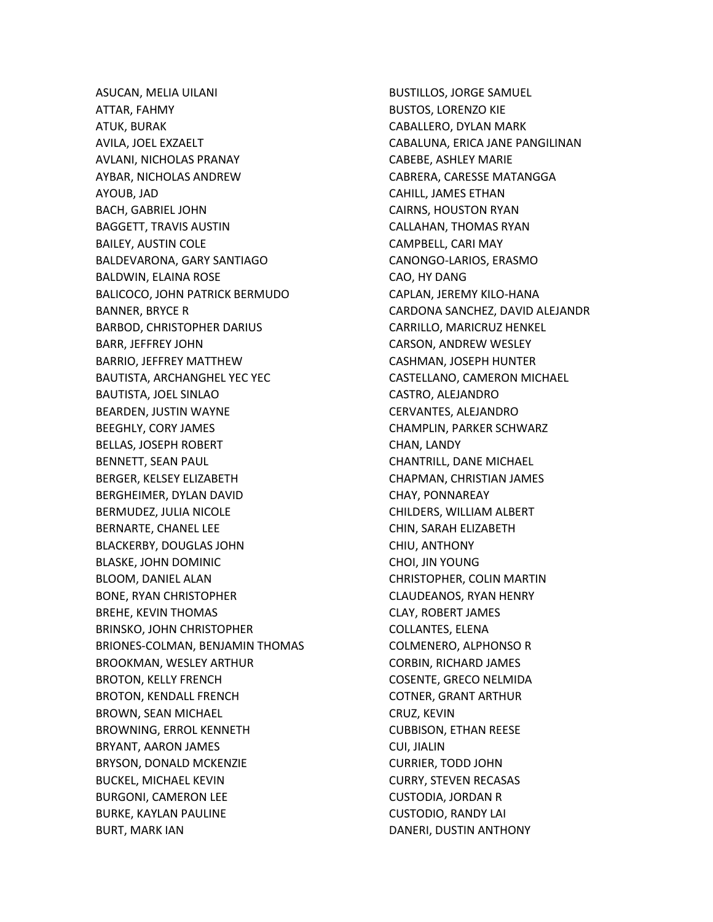ASUCAN, MELIA UILANI ATTAR, FAHMY ATUK, BURAK AVILA, JOEL EXZAELT AVLANI, NICHOLAS PRANAY AYBAR, NICHOLAS ANDREW AYOUB, JAD BACH, GABRIEL JOHN BAGGETT, TRAVIS AUSTIN BAILEY, AUSTIN COLE BALDEVARONA, GARY SANTIAGO BALDWIN, ELAINA ROSE BALICOCO, JOHN PATRICK BERMUDO BANNER, BRYCE R BARBOD, CHRISTOPHER DARIUS BARR, JEFFREY JOHN BARRIO, JEFFREY MATTHEW BAUTISTA, ARCHANGHEL YEC YEC BAUTISTA, JOEL SINLAO BEARDEN, JUSTIN WAYNE BEEGHLY, CORY JAMES BELLAS, JOSEPH ROBERT BENNETT, SEAN PAUL BERGER, KELSEY ELIZABETH BERGHEIMER, DYLAN DAVID BERMUDEZ, JULIA NICOLE BERNARTE, CHANEL LEE BLACKERBY, DOUGLAS JOHN BLASKE, JOHN DOMINIC BLOOM, DANIEL ALAN BONE, RYAN CHRISTOPHER BREHE, KEVIN THOMAS BRINSKO, JOHN CHRISTOPHER BRIONES-COLMAN, BENJAMIN THOMAS BROOKMAN, WESLEY ARTHUR BROTON, KELLY FRENCH BROTON, KENDALL FRENCH BROWN, SEAN MICHAEL BROWNING, ERROL KENNETH BRYANT, AARON JAMES BRYSON, DONALD MCKENZIE BUCKEL, MICHAEL KEVIN BURGONI, CAMERON LEE BURKE, KAYLAN PAULINE BURT, MARK IAN

BUSTILLOS, JORGE SAMUEL BUSTOS, LORENZO KIE CABALLERO, DYLAN MARK CABALUNA, ERICA JANE PANGILINAN CABEBE, ASHLEY MARIE CABRERA, CARESSE MATANGGA CAHILL, JAMES ETHAN CAIRNS, HOUSTON RYAN CALLAHAN, THOMAS RYAN CAMPBELL, CARI MAY CANONGO-LARIOS, ERASMO CAO, HY DANG CAPLAN, JEREMY KILO-HANA CARDONA SANCHEZ, DAVID ALEJANDR CARRILLO, MARICRUZ HENKEL CARSON, ANDREW WESLEY CASHMAN, JOSEPH HUNTER CASTELLANO, CAMERON MICHAEL CASTRO, ALEJANDRO CERVANTES, ALEJANDRO CHAMPLIN, PARKER SCHWARZ CHAN, LANDY CHANTRILL, DANE MICHAEL CHAPMAN, CHRISTIAN JAMES CHAY, PONNAREAY CHILDERS, WILLIAM ALBERT CHIN, SARAH ELIZABETH CHIU, ANTHONY CHOI, JIN YOUNG CHRISTOPHER, COLIN MARTIN CLAUDEANOS, RYAN HENRY CLAY, ROBERT JAMES COLLANTES, ELENA COLMENERO, ALPHONSO R CORBIN, RICHARD JAMES COSENTE, GRECO NELMIDA COTNER, GRANT ARTHUR CRUZ, KEVIN CUBBISON, ETHAN REESE CUI, JIALIN CURRIER, TODD JOHN CURRY, STEVEN RECASAS CUSTODIA, JORDAN R CUSTODIO, RANDY LAI DANERI, DUSTIN ANTHONY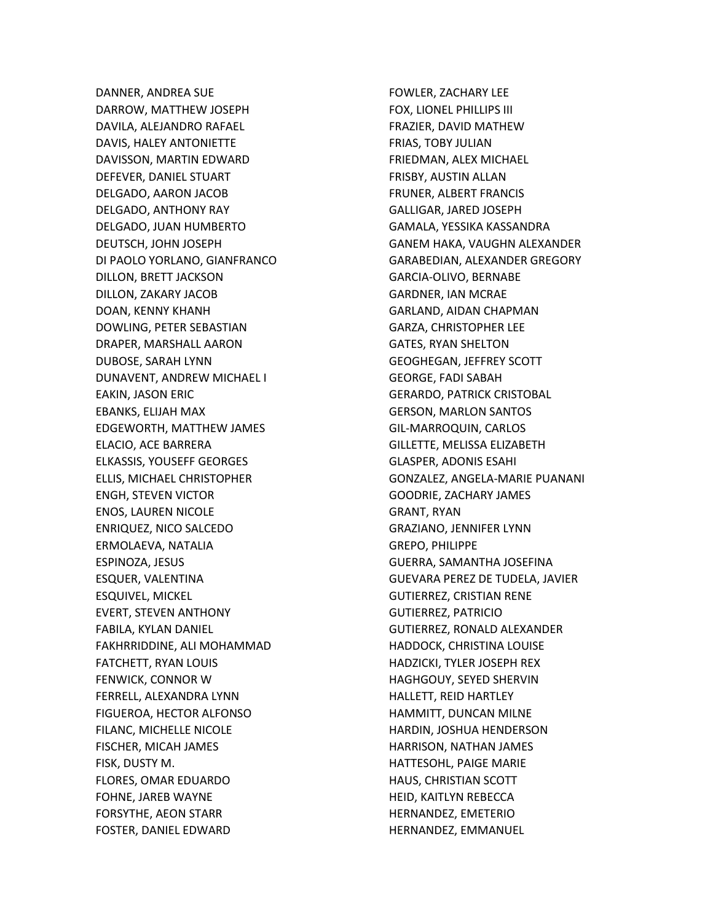DANNER, ANDREA SUE DARROW, MATTHEW JOSEPH DAVILA, ALEJANDRO RAFAEL DAVIS, HALEY ANTONIETTE DAVISSON, MARTIN EDWARD DEFEVER, DANIEL STUART DELGADO, AARON JACOB DELGADO, ANTHONY RAY DELGADO, JUAN HUMBERTO DEUTSCH, JOHN JOSEPH DI PAOLO YORLANO, GIANFRANCO DILLON, BRETT JACKSON DILLON, ZAKARY JACOB DOAN, KENNY KHANH DOWLING, PETER SEBASTIAN DRAPER, MARSHALL AARON DUBOSE, SARAH LYNN DUNAVENT, ANDREW MICHAEL I EAKIN, JASON ERIC EBANKS, ELIJAH MAX EDGEWORTH, MATTHEW JAMES ELACIO, ACE BARRERA ELKASSIS, YOUSEFF GEORGES ELLIS, MICHAEL CHRISTOPHER ENGH, STEVEN VICTOR ENOS, LAUREN NICOLE ENRIQUEZ, NICO SALCEDO ERMOLAEVA, NATALIA ESPINOZA, JESUS ESQUER, VALENTINA ESQUIVEL, MICKEL EVERT, STEVEN ANTHONY FABILA, KYLAN DANIEL FAKHRRIDDINE, ALI MOHAMMAD FATCHETT, RYAN LOUIS FENWICK, CONNOR W FERRELL, ALEXANDRA LYNN FIGUEROA, HECTOR ALFONSO FILANC, MICHELLE NICOLE FISCHER, MICAH JAMES FISK, DUSTY M. FLORES, OMAR EDUARDO FOHNE, JAREB WAYNE FORSYTHE, AEON STARR FOSTER, DANIEL EDWARD

FOWLER, ZACHARY LEE FOX, LIONEL PHILLIPS III FRAZIER, DAVID MATHEW FRIAS, TOBY JULIAN FRIEDMAN, ALEX MICHAEL FRISBY, AUSTIN ALLAN FRUNER, ALBERT FRANCIS GALLIGAR, JARED JOSEPH GAMALA, YESSIKA KASSANDRA GANEM HAKA, VAUGHN ALEXANDER GARABEDIAN, ALEXANDER GREGORY GARCIA-OLIVO, BERNABE GARDNER, IAN MCRAE GARLAND, AIDAN CHAPMAN GARZA, CHRISTOPHER LEE GATES, RYAN SHELTON GEOGHEGAN, JEFFREY SCOTT GEORGE, FADI SABAH GERARDO, PATRICK CRISTOBAL GERSON, MARLON SANTOS GIL-MARROQUIN, CARLOS GILLETTE, MELISSA ELIZABETH GLASPER, ADONIS ESAHI GONZALEZ, ANGELA-MARIE PUANANI GOODRIE, ZACHARY JAMES GRANT, RYAN GRAZIANO, JENNIFER LYNN GREPO, PHILIPPE GUERRA, SAMANTHA JOSEFINA GUEVARA PEREZ DE TUDELA, JAVIER GUTIERREZ, CRISTIAN RENE GUTIERREZ, PATRICIO GUTIERREZ, RONALD ALEXANDER HADDOCK, CHRISTINA LOUISE HADZICKI, TYLER JOSEPH REX HAGHGOUY, SEYED SHERVIN HALLETT, REID HARTLEY HAMMITT, DUNCAN MILNE HARDIN, JOSHUA HENDERSON HARRISON, NATHAN JAMES HATTESOHL, PAIGE MARIE HAUS, CHRISTIAN SCOTT HEID, KAITLYN REBECCA HERNANDEZ, EMETERIO HERNANDEZ, EMMANUEL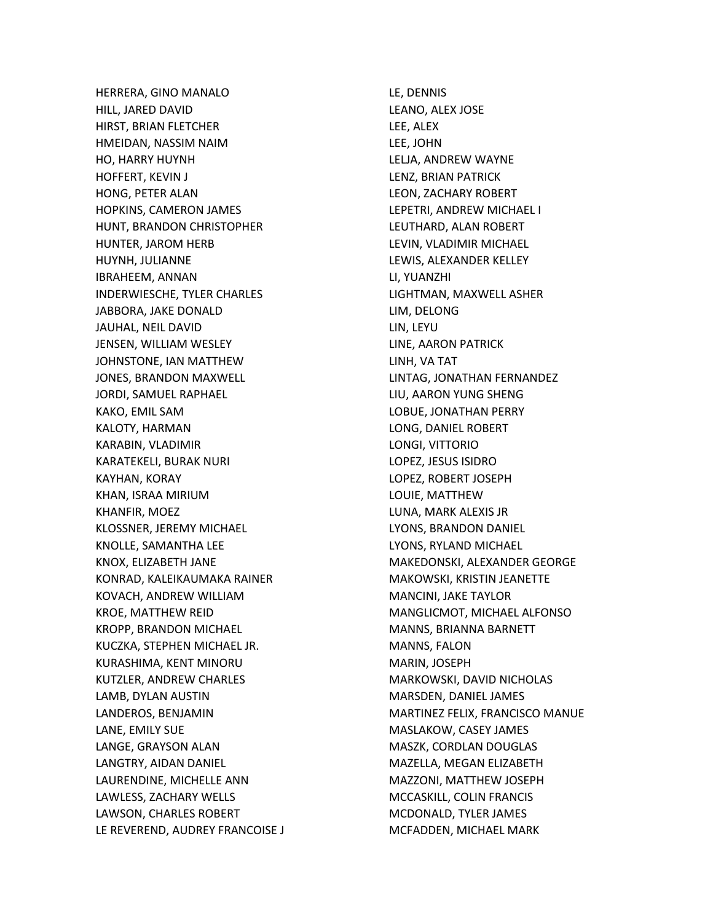HERRERA, GINO MANALO HILL, JARED DAVID HIRST, BRIAN FLETCHER HMEIDAN, NASSIM NAIM HO, HARRY HUYNH HOFFERT, KEVIN J HONG, PETER ALAN HOPKINS, CAMERON JAMES HUNT, BRANDON CHRISTOPHER HUNTER, JAROM HERB HUYNH, JULIANNE IBRAHEEM, ANNAN INDERWIESCHE, TYLER CHARLES JABBORA, JAKE DONALD JAUHAL, NEIL DAVID JENSEN, WILLIAM WESLEY JOHNSTONE, IAN MATTHEW JONES, BRANDON MAXWELL JORDI, SAMUEL RAPHAEL KAKO, EMIL SAM KALOTY, HARMAN KARABIN, VLADIMIR KARATEKELI, BURAK NURI KAYHAN, KORAY KHAN, ISRAA MIRIUM KHANFIR, MOEZ KLOSSNER, JEREMY MICHAEL KNOLLE, SAMANTHA LEE KNOX, ELIZABETH JANE KONRAD, KALEIKAUMAKA RAINER KOVACH, ANDREW WILLIAM KROE, MATTHEW REID KROPP, BRANDON MICHAEL KUCZKA, STEPHEN MICHAEL JR. KURASHIMA, KENT MINORU KUTZLER, ANDREW CHARLES LAMB, DYLAN AUSTIN LANDEROS, BENJAMIN LANE, EMILY SUE LANGE, GRAYSON ALAN LANGTRY, AIDAN DANIEL LAURENDINE, MICHELLE ANN LAWLESS, ZACHARY WELLS LAWSON, CHARLES ROBERT LE REVEREND, AUDREY FRANCOISE J LE, DENNIS LEANO, ALEX JOSE LEE, ALEX LEE, JOHN LELJA, ANDREW WAYNE LENZ, BRIAN PATRICK LEON, ZACHARY ROBERT LEPETRI, ANDREW MICHAEL I LEUTHARD, ALAN ROBERT LEVIN, VLADIMIR MICHAEL LEWIS, ALEXANDER KELLEY LI, YUANZHI LIGHTMAN, MAXWELL ASHER LIM, DELONG LIN, LEYU LINE, AARON PATRICK LINH, VA TAT LINTAG, JONATHAN FERNANDEZ LIU, AARON YUNG SHENG LOBUE, JONATHAN PERRY LONG, DANIEL ROBERT LONGI, VITTORIO LOPEZ, JESUS ISIDRO LOPEZ, ROBERT JOSEPH LOUIE, MATTHEW LUNA, MARK ALEXIS JR LYONS, BRANDON DANIEL LYONS, RYLAND MICHAEL MAKEDONSKI, ALEXANDER GEORGE MAKOWSKI, KRISTIN JEANETTE MANCINI, JAKE TAYLOR MANGLICMOT, MICHAEL ALFONSO MANNS, BRIANNA BARNETT MANNS, FALON MARIN, JOSEPH MARKOWSKI, DAVID NICHOLAS MARSDEN, DANIEL JAMES MARTINEZ FELIX, FRANCISCO MANUE MASLAKOW, CASEY JAMES MASZK, CORDLAN DOUGLAS MAZELLA, MEGAN ELIZABETH MAZZONI, MATTHEW JOSEPH MCCASKILL, COLIN FRANCIS MCDONALD, TYLER JAMES MCFADDEN, MICHAEL MARK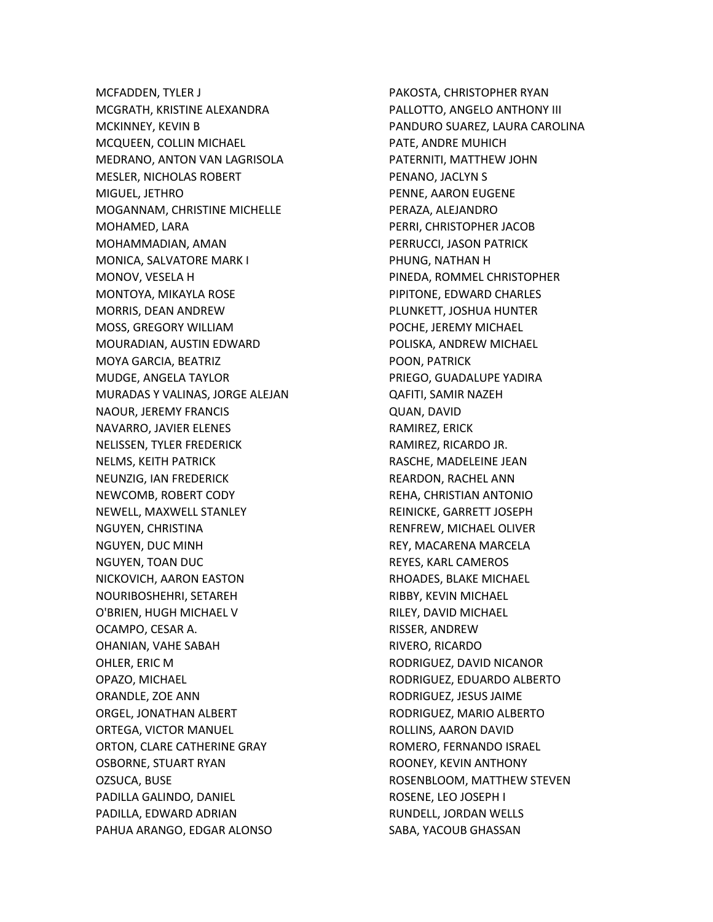MCFADDEN, TYLER J MCGRATH, KRISTINE ALEXANDRA MCKINNEY, KEVIN B MCQUEEN, COLLIN MICHAEL MEDRANO, ANTON VAN LAGRISOLA MESLER, NICHOLAS ROBERT MIGUEL, JETHRO MOGANNAM, CHRISTINE MICHELLE MOHAMED, LARA MOHAMMADIAN, AMAN MONICA, SALVATORE MARK I MONOV, VESELA H MONTOYA, MIKAYLA ROSE MORRIS, DEAN ANDREW MOSS, GREGORY WILLIAM MOURADIAN, AUSTIN EDWARD MOYA GARCIA, BEATRIZ MUDGE, ANGELA TAYLOR MURADAS Y VALINAS, JORGE ALEJAN NAOUR, JEREMY FRANCIS NAVARRO, JAVIER ELENES NELISSEN, TYLER FREDERICK NELMS, KEITH PATRICK NEUNZIG, IAN FREDERICK NEWCOMB, ROBERT CODY NEWELL, MAXWELL STANLEY NGUYEN, CHRISTINA NGUYEN, DUC MINH NGUYEN, TOAN DUC NICKOVICH, AARON EASTON NOURIBOSHEHRI, SETAREH O'BRIEN, HUGH MICHAEL V OCAMPO, CESAR A. OHANIAN, VAHE SABAH OHLER, ERIC M OPAZO, MICHAEL ORANDLE, ZOE ANN ORGEL, JONATHAN ALBERT ORTEGA, VICTOR MANUEL ORTON, CLARE CATHERINE GRAY OSBORNE, STUART RYAN OZSUCA, BUSE PADILLA GALINDO, DANIEL PADILLA, EDWARD ADRIAN PAHUA ARANGO, EDGAR ALONSO

PAKOSTA, CHRISTOPHER RYAN PALLOTTO, ANGELO ANTHONY III PANDURO SUAREZ, LAURA CAROLINA PATE, ANDRE MUHICH PATERNITI, MATTHEW JOHN PENANO, JACLYN S PENNE, AARON EUGENE PERAZA, ALEJANDRO PERRI, CHRISTOPHER JACOB PERRUCCI, JASON PATRICK PHUNG, NATHAN H PINEDA, ROMMEL CHRISTOPHER PIPITONE, EDWARD CHARLES PLUNKETT, JOSHUA HUNTER POCHE, JEREMY MICHAEL POLISKA, ANDREW MICHAEL POON, PATRICK PRIEGO, GUADALUPE YADIRA QAFITI, SAMIR NAZEH QUAN, DAVID RAMIREZ, ERICK RAMIREZ, RICARDO JR. RASCHE, MADELEINE JEAN REARDON, RACHEL ANN REHA, CHRISTIAN ANTONIO REINICKE, GARRETT JOSEPH RENFREW, MICHAEL OLIVER REY, MACARENA MARCELA REYES, KARL CAMEROS RHOADES, BLAKE MICHAEL RIBBY, KEVIN MICHAEL RILEY, DAVID MICHAEL RISSER, ANDREW RIVERO, RICARDO RODRIGUEZ, DAVID NICANOR RODRIGUEZ, EDUARDO ALBERTO RODRIGUEZ, JESUS JAIME RODRIGUEZ, MARIO ALBERTO ROLLINS, AARON DAVID ROMERO, FERNANDO ISRAEL ROONEY, KEVIN ANTHONY ROSENBLOOM, MATTHEW STEVEN ROSENE, LEO JOSEPH I RUNDELL, JORDAN WELLS SABA, YACOUB GHASSAN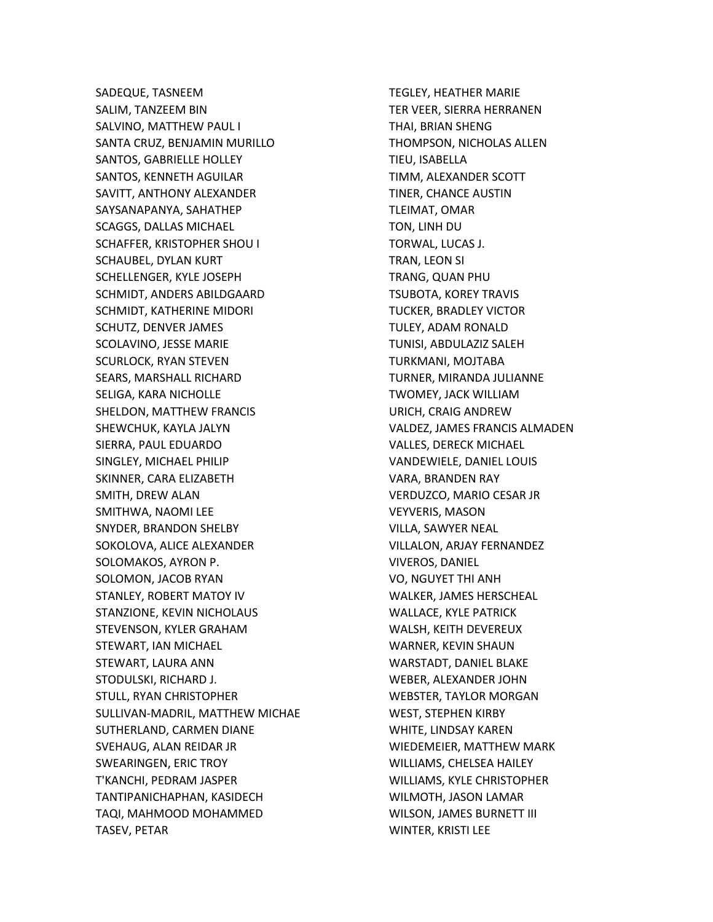SADEQUE, TASNEEM SALIM, TANZEEM BIN SALVINO, MATTHEW PAUL I SANTA CRUZ, BENJAMIN MURILLO SANTOS, GABRIELLE HOLLEY SANTOS, KENNETH AGUILAR SAVITT, ANTHONY ALEXANDER SAYSANAPANYA, SAHATHEP SCAGGS, DALLAS MICHAEL SCHAFFER, KRISTOPHER SHOU I SCHAUBEL, DYLAN KURT SCHELLENGER, KYLE JOSEPH SCHMIDT, ANDERS ABILDGAARD SCHMIDT, KATHERINE MIDORI SCHUTZ, DENVER JAMES SCOLAVINO, JESSE MARIE SCURLOCK, RYAN STEVEN SEARS, MARSHALL RICHARD SELIGA, KARA NICHOLLE SHELDON, MATTHEW FRANCIS SHEWCHUK, KAYLA JALYN SIERRA, PAUL EDUARDO SINGLEY, MICHAEL PHILIP SKINNER, CARA ELIZABETH SMITH, DREW ALAN SMITHWA, NAOMI LEE SNYDER, BRANDON SHELBY SOKOLOVA, ALICE ALEXANDER SOLOMAKOS, AYRON P. SOLOMON, JACOB RYAN STANLEY, ROBERT MATOY IV STANZIONE, KEVIN NICHOLAUS STEVENSON, KYLER GRAHAM STEWART, IAN MICHAEL STEWART, LAURA ANN STODULSKI, RICHARD J. STULL, RYAN CHRISTOPHER SULLIVAN-MADRIL, MATTHEW MICHAE SUTHERLAND, CARMEN DIANE SVEHAUG, ALAN REIDAR JR SWEARINGEN, ERIC TROY T'KANCHI, PEDRAM JASPER TANTIPANICHAPHAN, KASIDECH TAQI, MAHMOOD MOHAMMED TASEV, PETAR

TEGLEY, HEATHER MARIE TER VEER, SIERRA HERRANEN THAI, BRIAN SHENG THOMPSON, NICHOLAS ALLEN TIEU, ISABELLA TIMM, ALEXANDER SCOTT TINER, CHANCE AUSTIN TLEIMAT, OMAR TON, LINH DU TORWAL, LUCAS J. TRAN, LEON SI TRANG, QUAN PHU TSUBOTA, KOREY TRAVIS TUCKER, BRADLEY VICTOR TULEY, ADAM RONALD TUNISI, ABDULAZIZ SALEH TURKMANI, MOJTABA TURNER, MIRANDA JULIANNE TWOMEY, JACK WILLIAM URICH, CRAIG ANDREW VALDEZ, JAMES FRANCIS ALMADEN VALLES, DERECK MICHAEL VANDEWIELE, DANIEL LOUIS VARA, BRANDEN RAY VERDUZCO, MARIO CESAR JR VEYVERIS, MASON VILLA, SAWYER NEAL VILLALON, ARJAY FERNANDEZ VIVEROS, DANIEL VO, NGUYET THI ANH WALKER, JAMES HERSCHEAL WALLACE, KYLE PATRICK WALSH, KEITH DEVEREUX WARNER, KEVIN SHAUN WARSTADT, DANIEL BLAKE WEBER, ALEXANDER JOHN WEBSTER, TAYLOR MORGAN WEST, STEPHEN KIRBY WHITE, LINDSAY KAREN WIEDEMEIER, MATTHEW MARK WILLIAMS, CHELSEA HAILEY WILLIAMS, KYLE CHRISTOPHER WILMOTH, JASON LAMAR WILSON, JAMES BURNETT III WINTER, KRISTI LEE